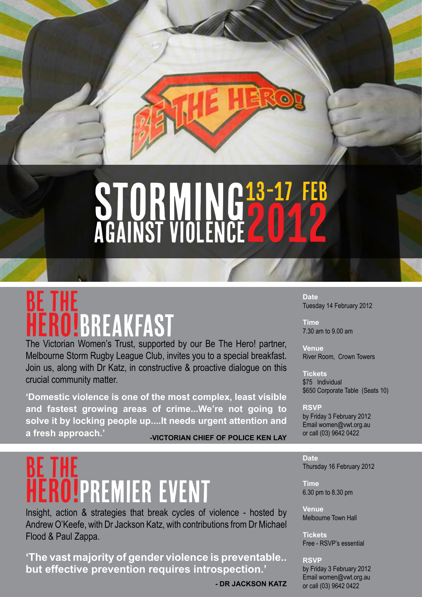# **STORMING** against violence 13-17 feb 2012

# HERO!BREAKFAST be the

The Victorian Women's Trust, supported by our Be The Hero! partner, Melbourne Storm Rugby League Club, invites you to a special breakfast. Join us, along with Dr Katz, in constructive & proactive dialogue on this crucial community matter.

**'Domestic violence is one of the most complex, least visible and fastest growing areas of crime...We're not going to solve it by locking people up....It needs urgent attention and a fresh approach.' -VICTORIAN CHIEF OF POLICE KEN LAY**

# **BE THE IPREMIER EVENT**

Insight, action & strategies that break cycles of violence - hosted by Andrew O'Keefe, with Dr Jackson Katz, with contributions from Dr Michael Flood & Paul Zappa.

**'The vast majority of gender violence is preventable.. but effective prevention requires introspection.'**

**- DR JACKSON KATZ**

**Date** Tuesday 14 February 2012

**Time** 7.30 am to 9.00 am

**Venue**  River Room, Crown Towers

**Tickets** \$75 Individual \$650 Corporate Table (Seats 10)

**RSVP**  by Friday 3 February 2012 Email women@vwt.org.au or call (03) 9642 0422

**Date** Thursday 16 February 2012

**Time** 6.30 pm to 8.30 pm

**Venue**  Melbourne Town Hall

**Tickets** Free - RSVP's essential

**RSVP**  by Friday 3 February 2012 Email women@vwt.org.au or call (03) 9642 0422